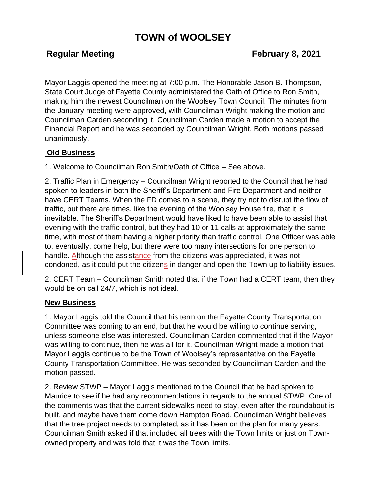# **TOWN of WOOLSEY**

## **Regular Meeting Constraining Regular Meeting Constraining Representing Representation Representation Representation Representation Representation Representation Representation Representation Representation Representation**

Mayor Laggis opened the meeting at 7:00 p.m. The Honorable Jason B. Thompson, State Court Judge of Fayette County administered the Oath of Office to Ron Smith, making him the newest Councilman on the Woolsey Town Council. The minutes from the January meeting were approved, with Councilman Wright making the motion and Councilman Carden seconding it. Councilman Carden made a motion to accept the Financial Report and he was seconded by Councilman Wright. Both motions passed unanimously.

## **Old Business**

1. Welcome to Councilman Ron Smith/Oath of Office – See above.

2. Traffic Plan in Emergency – Councilman Wright reported to the Council that he had spoken to leaders in both the Sheriff's Department and Fire Department and neither have CERT Teams. When the FD comes to a scene, they try not to disrupt the flow of traffic, but there are times, like the evening of the Woolsey House fire, that it is inevitable. The Sheriff's Department would have liked to have been able to assist that evening with the traffic control, but they had 10 or 11 calls at approximately the same time, with most of them having a higher priority than traffic control. One Officer was able to, eventually, come help, but there were too many intersections for one person to handle. Although the assistance from the citizens was appreciated, it was not condoned, as it could put the citizens in danger and open the Town up to liability issues.

2. CERT Team – Councilman Smith noted that if the Town had a CERT team, then they would be on call 24/7, which is not ideal.

### **New Business**

1. Mayor Laggis told the Council that his term on the Fayette County Transportation Committee was coming to an end, but that he would be willing to continue serving, unless someone else was interested. Councilman Carden commented that if the Mayor was willing to continue, then he was all for it. Councilman Wright made a motion that Mayor Laggis continue to be the Town of Woolsey's representative on the Fayette County Transportation Committee. He was seconded by Councilman Carden and the motion passed.

2. Review STWP – Mayor Laggis mentioned to the Council that he had spoken to Maurice to see if he had any recommendations in regards to the annual STWP. One of the comments was that the current sidewalks need to stay, even after the roundabout is built, and maybe have them come down Hampton Road. Councilman Wright believes that the tree project needs to completed, as it has been on the plan for many years. Councilman Smith asked if that included all trees with the Town limits or just on Townowned property and was told that it was the Town limits.